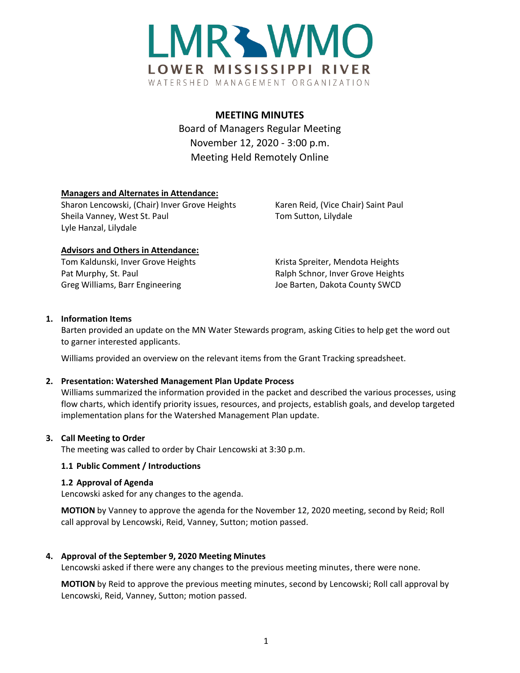

# **MEETING MINUTES**

Board of Managers Regular Meeting November 12, 2020 - 3:00 p.m. Meeting Held Remotely Online

# **Managers and Alternates in Attendance:**

Sharon Lencowski, (Chair) Inver Grove Heights Karen Reid, (Vice Chair) Saint Paul Sheila Vanney, West St. Paul Tom Sutton, Lilydale Lyle Hanzal, Lilydale

# **Advisors and Others in Attendance:**

Tom Kaldunski, Inver Grove Heights Krista Spreiter, Mendota Heights Pat Murphy, St. Paul **Ralph Schnor, Inver Grove Heights** Greg Williams, Barr Engineering The Manuscon County SWCD Joe Barten, Dakota County SWCD

# **1. Information Items**

Barten provided an update on the MN Water Stewards program, asking Cities to help get the word out to garner interested applicants.

Williams provided an overview on the relevant items from the Grant Tracking spreadsheet.

# **2. Presentation: Watershed Management Plan Update Process**

Williams summarized the information provided in the packet and described the various processes, using flow charts, which identify priority issues, resources, and projects, establish goals, and develop targeted implementation plans for the Watershed Management Plan update.

#### **3. Call Meeting to Order**

The meeting was called to order by Chair Lencowski at 3:30 p.m.

# **1.1 Public Comment / Introductions**

#### **1.2 Approval of Agenda**

Lencowski asked for any changes to the agenda.

**MOTION** by Vanney to approve the agenda for the November 12, 2020 meeting, second by Reid; Roll call approval by Lencowski, Reid, Vanney, Sutton; motion passed.

# **4. Approval of the September 9, 2020 Meeting Minutes**

Lencowski asked if there were any changes to the previous meeting minutes, there were none.

**MOTION** by Reid to approve the previous meeting minutes, second by Lencowski; Roll call approval by Lencowski, Reid, Vanney, Sutton; motion passed.